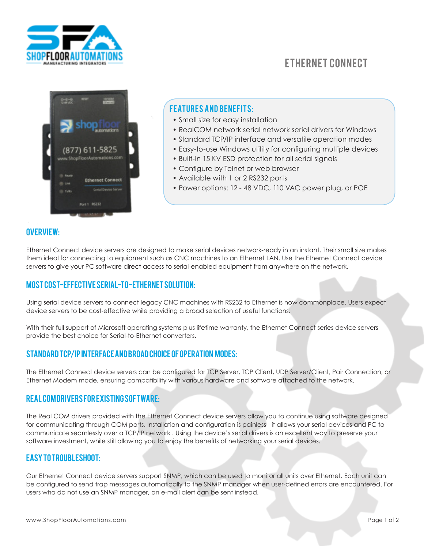

# Ethernet Connect



## **FEATURES AND BENEFITS:**

- Small size for easy installation
- RealCOM network serial network serial drivers for Windows
- Standard TCP/IP interface and versatile operation modes
- Easy-to-use Windows utility for configuring multiple devices
- Built-in 15 KV ESD protection for all serial signals
- Configure by Telnet or web browser
- Available with 1 or 2 RS232 ports
- Power options: 12 48 VDC, 110 VAC power plug, or POE

### Overview:

Ethernet Connect device servers are designed to make serial devices network-ready in an instant. Their small size makes them ideal for connecting to equipment such as CNC machines to an Ethernet LAN. Use the Ethernet Connect device servers to give your PC software direct access to serial-enabled equipment from anywhere on the network.

## Most Cost-effective Serial-to-Ethernet Solution:

Using serial device servers to connect legacy CNC machines with RS232 to Ethernet is now commonplace. Users expect device servers to be cost-effective while providing a broad selection of useful functions.

With their full support of Microsoft operating systems plus lifetime warranty, the Ethernet Connect series device servers provide the best choice for Serial-to-Ethernet converters.

#### Standard TCP/IP Interface and Broad Choice of Operation Modes:

The Ethernet Connect device servers can be configured for TCP Server, TCP Client, UDP Server/Client, Pair Connection, or Ethernet Modem mode, ensuring compatibility with various hardware and software attached to the network.

#### Real COM Drivers for Existing Software:

The Real COM drivers provided with the Ethernet Connect device servers allow you to continue using software designed for communicating through COM ports. Installation and configuration is painless - it allows your serial devices and PC to communicate seamlessly over a TCP/IP network . Using the device's serial drivers is an excellent way to preserve your software investment, while still allowing you to enjoy the benefits of networking your serial devices.

#### Easy to Troubleshoot:

Our Ethernet Connect device servers support SNMP, which can be used to monitor all units over Ethernet. Each unit can be configured to send trap messages automatically to the SNMP manager when user-defined errors are encountered. For users who do not use an SNMP manager, an e-mail alert can be sent instead.